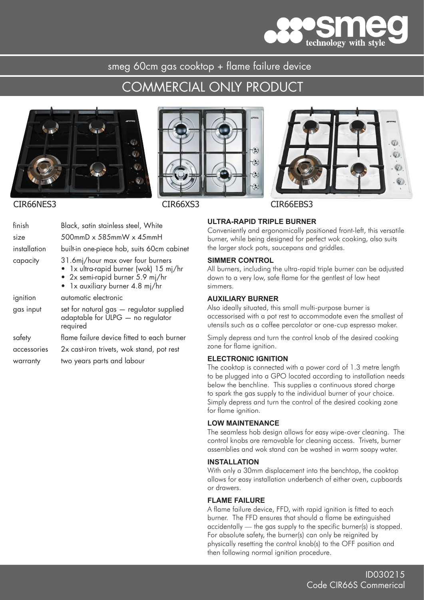

smeg 60cm gas cooktop + flame failure device

## COMMERCIAL ONLY PRODUCT







### CIR66NES3 CIR66XS3 CIR66EBS3

| finish       | Black, satin stainless steel, White                                                                                                                |
|--------------|----------------------------------------------------------------------------------------------------------------------------------------------------|
| size         | $500$ mmD x 585mmW x 45mmH                                                                                                                         |
| installation | built-in one-piece hob, suits 60cm cabinet                                                                                                         |
| capacity     | 31.6mj/hour max over four burners<br>• 1x ultra-rapid burner (wok) 15 mj/hr<br>• $2x$ semi-rapid burner 5.9 mj/hr<br>1x auxiliary burner 4.8 mj/hr |
| ignition     | automatic electronic                                                                                                                               |
| gas input    | set for natural gas - regulator supplied<br>adaptable for ULPG - no regulator<br>required                                                          |
| safety       | flame failure device fitted to each burner                                                                                                         |
| accessories  | 2x cast-iron trivets, wok stand, pot rest                                                                                                          |
| warranty     | two years parts and labour                                                                                                                         |

#### **ULTRA-RAPID TRIPLE BURNER**

Conveniently and ergonomically positioned front-left, this versatile burner, while being designed for perfect wok cooking, also suits the larger stock pots, saucepans and griddles.

#### **SIMMER CONTROL**

All burners, including the ultra-rapid triple burner can be adjusted down to a very low, safe flame for the gentlest of low heat simmers.

#### **AUXILIARY BURNER**

Also ideally situated, this small multi-purpose burner is accessorised with a pot rest to accommodate even the smallest of utensils such as a coffee percolator or one-cup espresso maker.

Simply depress and turn the control knob of the desired cooking zone for flame ignition.

#### **ELECTRONIC IGNITION**

The cooktop is connected with a power cord of 1.3 metre length to be plugged into a GPO located according to installation needs below the benchline. This supplies a continuous stored charge to spark the gas supply to the individual burner of your choice. Simply depress and turn the control of the desired cooking zone for flame ianition.

#### **LOW MAINTENANCE**

The seamless hob design allows for easy wipe-over cleaning. The control knobs are removable for cleaning access. Trivets, burner assemblies and wok stand can be washed in warm soapy water.

#### **INSTALLATION**

With only a 30mm displacement into the benchtop, the cooktop allows for easy installation underbench of either oven, cupboards or drawers.

#### **FLAME FAILURE**

A flame failure device, FFD, with rapid ignition is fitted to each burner. The FFD ensures that should a flame be extinguished accidentally — the gas supply to the specific burner(s) is stopped. For absolute safety, the burner(s) can only be reignited by physically resetting the control knob(s) to the OFF position and then following normal ignition procedure.